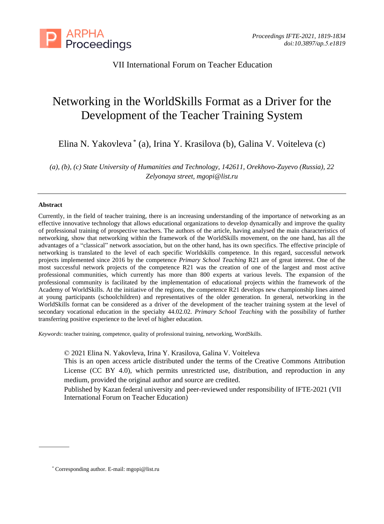

VII International Forum on Teacher Education

# Networking in the WorldSkills Format as a Driver for the Development of the Teacher Training System

Elina N. Yakovleva \* (a), Irina Y. Krasilova (b), Galina V. Voiteleva (c)

*(a), (b), (c) State University of Humanities and Technology, 142611, Orekhovo-Zuyevo (Russia), 22 Zelyonaya street, mgopi@list.ru*

## **Abstract**

Currently, in the field of teacher training, there is an increasing understanding of the importance of networking as an effective innovative technology that allows educational organizations to develop dynamically and improve the quality of professional training of prospective teachers. The authors of the article, having analysed the main characteristics of networking, show that networking within the framework of the WorldSkills movement, on the one hand, has all the advantages of a "classical" network association, but on the other hand, has its own specifics. The effective principle of networking is translated to the level of each specific Worldskills competence. In this regard, successful network projects implemented since 2016 by the competence *Primary School Teaching* R21 are of great interest. One of the most successful network projects of the competence R21 was the creation of one of the largest and most active professional communities, which currently has more than 800 experts at various levels. The expansion of the professional community is facilitated by the implementation of educational projects within the framework of the Academy of WorldSkills. At the initiative of the regions, the competence R21 develops new championship lines aimed at young participants (schoolchildren) and representatives of the older generation. In general, networking in the WorldSkills format can be considered as a driver of the development of the teacher training system at the level of secondary vocational education in the specialty 44.02.02. *Primary School Teaching* with the possibility of further transferring positive experience to the level of higher education.

*Keywords*: teacher training, competence, quality of professional training, networking, WordSkills.

© 2021 Elina N. Yakovleva, Irina Y. Krasilova, Galina V. Voiteleva

This is an open access article distributed under the terms of the Creative Commons Attribution License (CC BY 4.0), which permits unrestricted use, distribution, and reproduction in any medium, provided the original author and source are credited.

Published by Kazan federal university and peer-reviewed under responsibility of IFTE-2021 (VII International Forum on Teacher Education)

<sup>\*</sup> Corresponding author. E-mail: mgopi@list.ru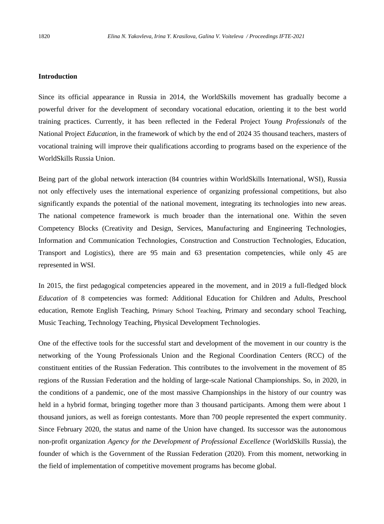## **Introduction**

Since its official appearance in Russia in 2014, the WorldSkills movement has gradually become a powerful driver for the development of secondary vocational education, orienting it to the best world training practices. Currently, it has been reflected in the Federal Project *Young Professionals* of the National Project *Education*, in the framework of which by the end of 2024 35 thousand teachers, masters of vocational training will improve their qualifications according to programs based on the experience of the WorldSkills Russia Union.

Being part of the global network interaction (84 countries within WorldSkills International, WSI), Russia not only effectively uses the international experience of organizing professional competitions, but also significantly expands the potential of the national movement, integrating its technologies into new areas. The national competence framework is much broader than the international one. Within the seven Competency Blocks (Creativity and Design, Services, Manufacturing and Engineering Technologies, Information and Communication Technologies, Construction and Construction Technologies, Education, Transport and Logistics), there are 95 main and 63 presentation competencies, while only 45 are represented in WSI.

In 2015, the first pedagogical competencies appeared in the movement, and in 2019 a full-fledged block *Education* of 8 competencies was formed: Additional Education for Children and Adults, Preschool education, Remote English Teaching, Primary School Teaching, Primary and secondary school Teaching, Music Teaching, Technology Teaching, Physical Development Technologies.

One of the effective tools for the successful start and development of the movement in our country is the networking of the Young Professionals Union and the Regional Coordination Centers (RCC) of the constituent entities of the Russian Federation. This contributes to the involvement in the movement of 85 regions of the Russian Federation and the holding of large-scale National Championships. So, in 2020, in the conditions of a pandemic, one of the most massive Championships in the history of our country was held in a hybrid format, bringing together more than 3 thousand participants. Among them were about 1 thousand juniors, as well as foreign contestants. More than 700 people represented the expert community. Since February 2020, the status and name of the Union have changed. Its successor was the autonomous non-profit organization *Agency for the Development of Professional Excellence* (WorldSkills Russia), the founder of which is the Government of the Russian Federation (2020). From this moment, networking in the field of implementation of competitive movement programs has become global.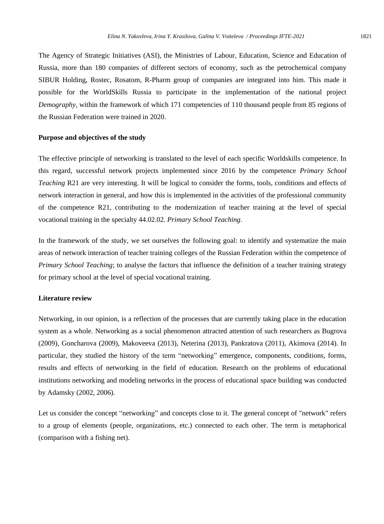The Agency of Strategic Initiatives (ASI), the Ministries of Labour, Education, Science and Education of Russia, more than 180 companies of different sectors of economy, such as the petrochemical company SIBUR Holding, Rostec, Rosatom, R-Pharm group of companies are integrated into him. This made it possible for the WorldSkills Russia to participate in the implementation of the national project *Demography*, within the framework of which 171 competencies of 110 thousand people from 85 regions of the Russian Federation were trained in 2020.

#### **Purpose and objectives of the study**

The effective principle of networking is translated to the level of each specific Worldskills competence. In this regard, successful network projects implemented since 2016 by the competence *Primary School Teaching* R21 are very interesting. It will be logical to consider the forms, tools, conditions and effects of network interaction in general, and how this is implemented in the activities of the professional community of the competence R21, contributing to the modernization of teacher training at the level of special vocational training in the specialty 44.02.02. *Primary School Teaching*.

In the framework of the study, we set ourselves the following goal: to identify and systematize the main areas of network interaction of teacher training colleges of the Russian Federation within the competence of *Primary School Teaching*; to analyse the factors that influence the definition of a teacher training strategy for primary school at the level of special vocational training.

## **Literature review**

Networking, in our opinion, is a reflection of the processes that are currently taking place in the education system as a whole. Networking as a social phenomenon attracted attention of such researchers as Bugrova (2009), Goncharova (2009), Makoveeva (2013), Neterina (2013), Pankratova (2011), Akimova (2014). In particular, they studied the history of the term "networking" emergence, components, conditions, forms, results and effects of networking in the field of education. Research on the problems of educational institutions networking and modeling networks in the process of educational space building was conducted by Adamsky (2002, 2006).

Let us consider the concept "networking" and concepts close to it. The general concept of "network" refers to a group of elements (people, organizations, etc.) connected to each other. The term is metaphorical (comparison with a fishing net).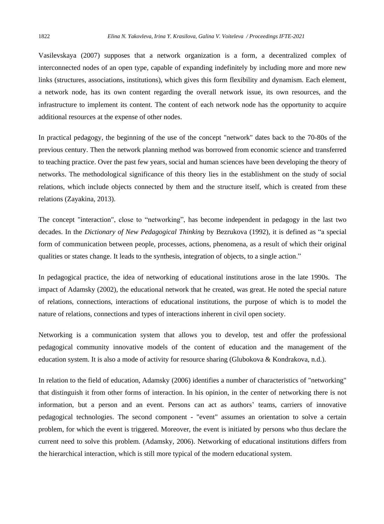Vasilevskaya (2007) supposes that a network organization is a form, a decentralized complex of interconnected nodes of an open type, capable of expanding indefinitely by including more and more new links (structures, associations, institutions), which gives this form flexibility and dynamism. Each element, a network node, has its own content regarding the overall network issue, its own resources, and the infrastructure to implement its content. The content of each network node has the opportunity to acquire additional resources at the expense of other nodes.

In practical pedagogy, the beginning of the use of the concept "network" dates back to the 70-80s of the previous century. Then the network planning method was borrowed from economic science and transferred to teaching practice. Over the past few years, social and human sciences have been developing the theory of networks. The methodological significance of this theory lies in the establishment on the study of social relations, which include objects connected by them and the structure itself, which is created from these relations (Zayakina, 2013).

The concept "interaction", close to "networking", has become independent in pedagogy in the last two decades. In the *Dictionary of New Pedagogical Thinking* by Bezrukova (1992), it is defined as "a special form of communication between people, processes, actions, phenomena, as a result of which their original qualities or states change. It leads to the synthesis, integration of objects, to a single action."

In pedagogical practice, the idea of networking of educational institutions arose in the late 1990s. The impact of Adamsky (2002)*,* the educational network that he created, was great. He noted the special nature of relations, connections, interactions of educational institutions, the purpose of which is to model the nature of relations, connections and types of interactions inherent in civil open society.

Networking is a communication system that allows you to develop, test and offer the professional pedagogical community innovative models of the content of education and the management of the education system. It is also a mode of activity for resource sharing (Glubokova & Kondrakova, n.d.).

In relation to the field of education, Adamsky (2006) identifies a number of characteristics of "networking" that distinguish it from other forms of interaction. In his opinion, in the center of networking there is not information, but a person and an event. Persons can act as authors' teams, carriers of innovative pedagogical technologies. The second component - "event" assumes an orientation to solve a certain problem, for which the event is triggered. Moreover, the event is initiated by persons who thus declare the current need to solve this problem. (Adamsky, 2006). Networking of educational institutions differs from the hierarchical interaction, which is still more typical of the modern educational system.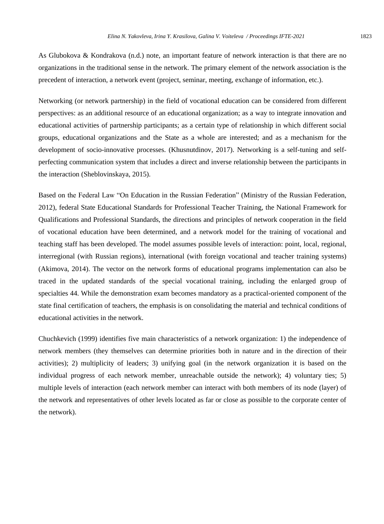Networking (or network partnership) in the field of vocational education can be considered from different perspectives: as an additional resource of an educational organization; as a way to integrate innovation and educational activities of partnership participants; as a certain type of relationship in which different social groups, educational organizations and the State as a whole are interested; and as a mechanism for the development of socio-innovative processes. (Khusnutdinov, 2017). Networking is a self-tuning and selfperfecting communication system that includes a direct and inverse relationship between the participants in the interaction (Sheblovinskaya, 2015).

Based on the Federal Law "On Education in the Russian Federation" (Ministry of the Russian Federation, 2012), federal State Educational Standards for Professional Teacher Training, the National Framework for Qualifications and Professional Standards, the directions and principles of network cooperation in the field of vocational education have been determined, and a network model for the training of vocational and teaching staff has been developed. The model assumes possible levels of interaction: point, local, regional, interregional (with Russian regions), international (with foreign vocational and teacher training systems) (Akimova, 2014). The vector on the network forms of educational programs implementation can also be traced in the updated standards of the special vocational training, including the enlarged group of specialties 44. While the demonstration exam becomes mandatory as a practical-oriented component of the state final certification of teachers, the emphasis is on consolidating the material and technical conditions of educational activities in the network.

Chuchkevich (1999) identifies five main characteristics of a network organization: 1) the independence of network members (they themselves can determine priorities both in nature and in the direction of their activities); 2) multiplicity of leaders; 3) unifying goal (in the network organization it is based on the individual progress of each network member, unreachable outside the network); 4) voluntary ties; 5) multiple levels of interaction (each network member can interact with both members of its node (layer) of the network and representatives of other levels located as far or close as possible to the corporate center of the network).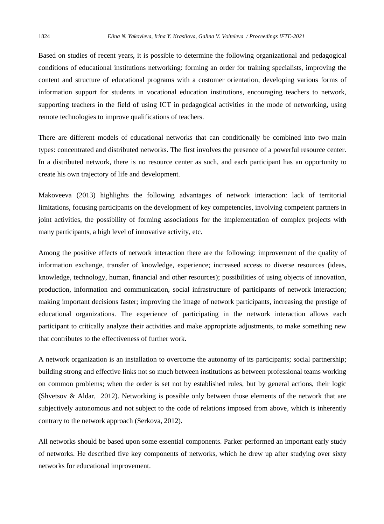Based on studies of recent years, it is possible to determine the following organizational and pedagogical conditions of educational institutions networking: forming an order for training specialists, improving the content and structure of educational programs with a customer orientation, developing various forms of information support for students in vocational education institutions, encouraging teachers to network, supporting teachers in the field of using ICT in pedagogical activities in the mode of networking, using remote technologies to improve qualifications of teachers.

There are different models of educational networks that can conditionally be combined into two main types: concentrated and distributed networks. The first involves the presence of a powerful resource center. In a distributed network, there is no resource center as such, and each participant has an opportunity to create his own trajectory of life and development.

Makoveeva (2013) highlights the following advantages of network interaction: lack of territorial limitations, focusing participants on the development of key competencies, involving competent partners in joint activities, the possibility of forming associations for the implementation of complex projects with many participants, a high level of innovative activity, etc.

Among the positive effects of network interaction there are the following: improvement of the quality of information exchange, transfer of knowledge, experience; increased access to diverse resources (ideas, knowledge, technology, human, financial and other resources); possibilities of using objects of innovation, production, information and communication, social infrastructure of participants of network interaction; making important decisions faster; improving the image of network participants, increasing the prestige of educational organizations. The experience of participating in the network interaction allows each participant to critically analyze their activities and make appropriate adjustments, to make something new that contributes to the effectiveness of further work.

A network organization is an installation to overcome the autonomy of its participants; social partnership; building strong and effective links not so much between institutions as between professional teams working on common problems; when the order is set not by established rules, but by general actions, their logic (Shvetsov & Aldar, 2012). Networking is possible only between those elements of the network that are subjectively autonomous and not subject to the code of relations imposed from above, which is inherently contrary to the network approach (Serkova, 2012).

All networks should be based upon some essential components. Parker performed an important early study of networks. He described five key components of networks, which he drew up after studying over sixty networks for educational improvement.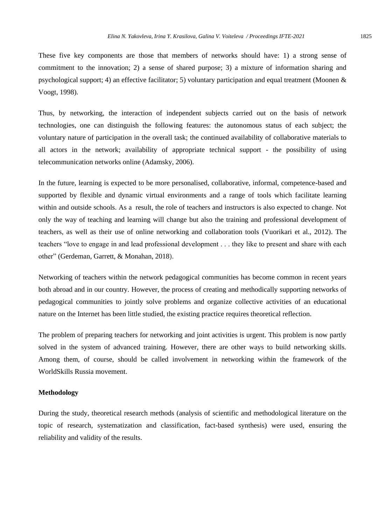These five key components are those that members of networks should have: 1) a strong sense of commitment to the innovation; 2) a sense of shared purpose; 3) a mixture of information sharing and psychological support; 4) an effective facilitator; 5) voluntary participation and equal treatment (Moonen & Voogt, 1998).

Thus, by networking, the interaction of independent subjects carried out on the basis of network technologies, one can distinguish the following features: the autonomous status of each subject; the voluntary nature of participation in the overall task; the continued availability of collaborative materials to all actors in the network; availability of appropriate technical support - the possibility of using telecommunication networks online (Adamsky, 2006).

In the future, learning is expected to be more personalised, collaborative, informal, competence-based and supported by flexible and dynamic virtual environments and a range of tools which facilitate learning within and outside schools. As a result, the role of teachers and instructors is also expected to change. Not only the way of teaching and learning will change but also the training and professional development of teachers, as well as their use of online networking and collaboration tools (Vuorikari et al., 2012). The teachers "love to engage in and lead professional development . . . they like to present and share with each other" (Gerdeman, Garrett, & Monahan, 2018).

Networking of teachers within the network pedagogical communities has become common in recent years both abroad and in our country. However, the process of creating and methodically supporting networks of pedagogical communities to jointly solve problems and organize collective activities of an educational nature on the Internet has been little studied, the existing practice requires theoretical reflection.

The problem of preparing teachers for networking and joint activities is urgent. This problem is now partly solved in the system of advanced training. However, there are other ways to build networking skills. Among them, of course, should be called involvement in networking within the framework of the WorldSkills Russia movement.

## **Methodology**

During the study, theoretical research methods (analysis of scientific and methodological literature on the topic of research, systematization and classification, fact-based synthesis) were used, ensuring the reliability and validity of the results.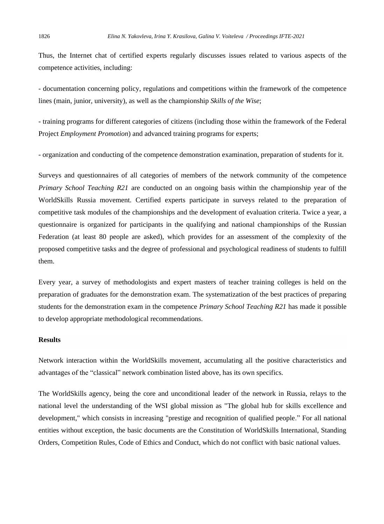Thus, the Internet chat of certified experts regularly discusses issues related to various aspects of the competence activities, including:

- documentation concerning policy, regulations and competitions within the framework of the competence lines (main, junior, university), as well as the championship *Skills of the Wise*;

- training programs for different categories of citizens (including those within the framework of the Federal Project *Employment Promotion*) and advanced training programs for experts;

- organization and conducting of the competence demonstration examination, preparation of students for it.

Surveys and questionnaires of all categories of members of the network community of the competence *Primary School Teaching R21* are conducted on an ongoing basis within the championship year of the WorldSkills Russia movement. Certified experts participate in surveys related to the preparation of competitive task modules of the championships and the development of evaluation criteria. Twice a year, a questionnaire is organized for participants in the qualifying and national championships of the Russian Federation (at least 80 people are asked), which provides for an assessment of the complexity of the proposed competitive tasks and the degree of professional and psychological readiness of students to fulfill them.

Every year, a survey of methodologists and expert masters of teacher training colleges is held on the preparation of graduates for the demonstration exam. The systematization of the best practices of preparing students for the demonstration exam in the competence *Primary School Teaching R21* has made it possible to develop appropriate methodological recommendations.

## **Results**

Network interaction within the WorldSkills movement, accumulating all the positive characteristics and advantages of the "classical" network combination listed above, has its own specifics.

The WorldSkills agency, being the core and unconditional leader of the network in Russia, relays to the national level the understanding of the WSI global mission as "The global hub for skills excellence and development," which consists in increasing "prestige and recognition of qualified people." For all national entities without exception, the basic documents are the Constitution of WorldSkills International, Standing Orders, Competition Rules, Code of Ethics and Conduct, which do not conflict with basic national values.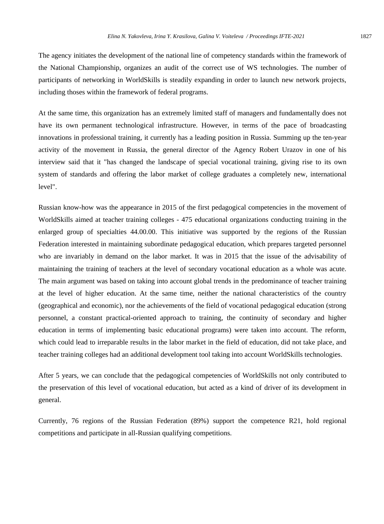The agency initiates the development of the national line of competency standards within the framework of the National Championship, organizes an audit of the correct use of WS technologies. The number of participants of networking in WorldSkills is steadily expanding in order to launch new network projects, including thoses within the framework of federal programs.

At the same time, this organization has an extremely limited staff of managers and fundamentally does not have its own permanent technological infrastructure. However, in terms of the pace of broadcasting innovations in professional training, it currently has a leading position in Russia. Summing up the ten-year activity of the movement in Russia, the general director of the Agency Robert Urazov in one of his interview said that it "has changed the landscape of special vocational training, giving rise to its own system of standards and offering the labor market of college graduates a completely new, international level".

Russian know-how was the appearance in 2015 of the first pedagogical competencies in the movement of WorldSkills aimed at teacher training colleges - 475 educational organizations conducting training in the enlarged group of specialties 44.00.00. This initiative was supported by the regions of the Russian Federation interested in maintaining subordinate pedagogical education, which prepares targeted personnel who are invariably in demand on the labor market. It was in 2015 that the issue of the advisability of maintaining the training of teachers at the level of secondary vocational education as a whole was acute. The main argument was based on taking into account global trends in the predominance of teacher training at the level of higher education. At the same time, neither the national characteristics of the country (geographical and economic), nor the achievements of the field of vocational pedagogical education (strong personnel, a constant practical-oriented approach to training, the continuity of secondary and higher education in terms of implementing basic educational programs) were taken into account. The reform, which could lead to irreparable results in the labor market in the field of education, did not take place, and teacher training colleges had an additional development tool taking into account WorldSkills technologies.

After 5 years, we can conclude that the pedagogical competencies of WorldSkills not only contributed to the preservation of this level of vocational education, but acted as a kind of driver of its development in general.

Currently, 76 regions of the Russian Federation (89%) support the competence R21, hold regional competitions and participate in all-Russian qualifying competitions.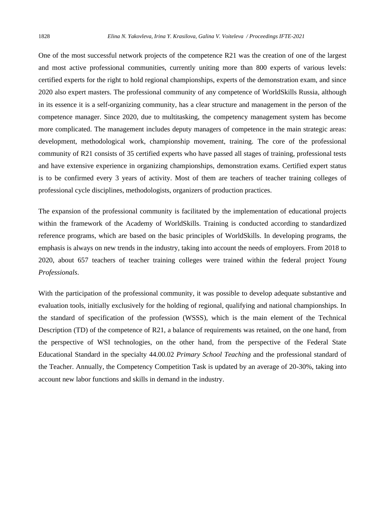One of the most successful network projects of the competence R21 was the creation of one of the largest and most active professional communities, currently uniting more than 800 experts of various levels: certified experts for the right to hold regional championships, experts of the demonstration exam, and since 2020 also expert masters. The professional community of any competence of WorldSkills Russia, although in its essence it is a self-organizing community, has a clear structure and management in the person of the competence manager. Since 2020, due to multitasking, the competency management system has become more complicated. The management includes deputy managers of competence in the main strategic areas: development, methodological work, championship movement, training. The core of the professional community of R21 consists of 35 certified experts who have passed all stages of training, professional tests and have extensive experience in organizing championships, demonstration exams. Certified expert status is to be confirmed every 3 years of activity. Most of them are teachers of teacher training colleges of professional cycle disciplines, methodologists, organizers of production practices.

The expansion of the professional community is facilitated by the implementation of educational projects within the framework of the Academy of WorldSkills. Training is conducted according to standardized reference programs, which are based on the basic principles of WorldSkills. In developing programs, the emphasis is always on new trends in the industry, taking into account the needs of employers. From 2018 to 2020, about 657 teachers of teacher training colleges were trained within the federal project *Young Professionals*.

With the participation of the professional community, it was possible to develop adequate substantive and evaluation tools, initially exclusively for the holding of regional, qualifying and national championships. In the standard of specification of the profession (WSSS), which is the main element of the Technical Description (TD) of the competence of R21, a balance of requirements was retained, on the one hand, from the perspective of WSI technologies, on the other hand, from the perspective of the Federal State Educational Standard in the specialty 44.00.02 *Primary School Teaching* and the professional standard of the Teacher. Annually, the Competency Competition Task is updated by an average of 20-30%, taking into account new labor functions and skills in demand in the industry.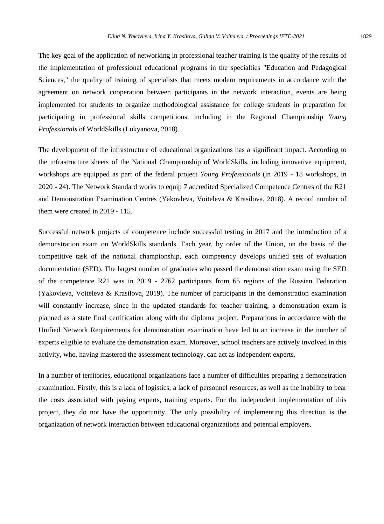The key goal of the application of networking in professional teacher training is the quality of the results of the implementation of professional educational programs in the specialties "Education and Pedagogical Sciences," the quality of training of specialists that meets modern requirements in accordance with the agreement on network cooperation between participants in the network interaction, events are being implemented for students to organize methodological assistance for college students in preparation for participating in professional skills competitions, including in the Regional Championship *Young Professionals* of WorldSkills (Lukyanova, 2018).

The development of the infrastructure of educational organizations has a significant impact. According to the infrastructure sheets of the National Championship of WorldSkills, including innovative equipment, workshops are equipped as part of the federal project *Young Professionals* (in 2019 - 18 workshops, in 2020 - 24). The Network Standard works to equip 7 accredited Specialized Competence Centres of the R21 and Demonstration Examination Centres (Yakovleva, Voiteleva & Krasilova, 2018). A record number of them were created in 2019 - 115.

Successful network projects of competence include successful testing in 2017 and the introduction of a demonstration exam on WorldSkills standards. Each year, by order of the Union, on the basis of the competitive task of the national championship, each competency develops unified sets of evaluation documentation (SED). The largest number of graduates who passed the demonstration exam using the SED of the competence R21 was in 2019 - 2762 participants from 65 regions of the Russian Federation (Yakovleva, Voiteleva & Krasilova, 2019). The number of participants in the demonstration examination will constantly increase, since in the updated standards for teacher training, a demonstration exam is planned as a state final certification along with the diploma project. Preparations in accordance with the Unified Network Requirements for demonstration examination have led to an increase in the number of experts eligible to evaluate the demonstration exam. Moreover, school teachers are actively involved in this activity, who, having mastered the assessment technology, can act as independent experts.

In a number of territories, educational organizations face a number of difficulties preparing a demonstration examination. Firstly, this is a lack of logistics, a lack of personnel resources, as well as the inability to bear the costs associated with paying experts, training experts. For the independent implementation of this project, they do not have the opportunity. The only possibility of implementing this direction is the organization of network interaction between educational organizations and potential employers.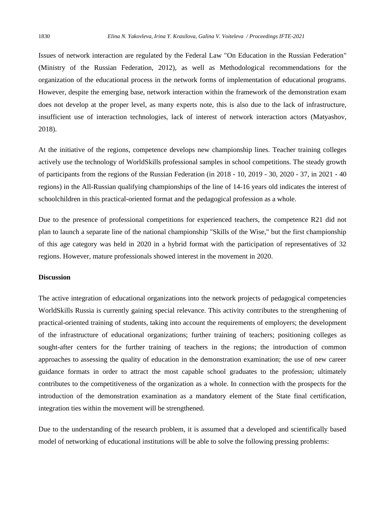Issues of network interaction are regulated by the Federal Law "On Education in the Russian Federation" (Ministry of the Russian Federation, 2012), as well as Methodological recommendations for the organization of the educational process in the network forms of implementation of educational programs. However, despite the emerging base, network interaction within the framework of the demonstration exam does not develop at the proper level, as many experts note, this is also due to the lack of infrastructure, insufficient use of interaction technologies, lack of interest of network interaction actors (Matyashov, 2018).

At the initiative of the regions, competence develops new championship lines. Teacher training colleges actively use the technology of WorldSkills professional samples in school competitions. The steady growth of participants from the regions of the Russian Federation (in 2018 - 10, 2019 - 30, 2020 - 37, in 2021 - 40 regions) in the All-Russian qualifying championships of the line of 14-16 years old indicates the interest of schoolchildren in this practical-oriented format and the pedagogical profession as a whole.

Due to the presence of professional competitions for experienced teachers, the competence R21 did not plan to launch a separate line of the national championship "Skills of the Wise," but the first championship of this age category was held in 2020 in a hybrid format with the participation of representatives of 32 regions. However, mature professionals showed interest in the movement in 2020.

#### **Discussion**

The active integration of educational organizations into the network projects of pedagogical competencies WorldSkills Russia is currently gaining special relevance. This activity contributes to the strengthening of practical-oriented training of students, taking into account the requirements of employers; the development of the infrastructure of educational organizations; further training of teachers; positioning colleges as sought-after centers for the further training of teachers in the regions; the introduction of common approaches to assessing the quality of education in the demonstration examination; the use of new career guidance formats in order to attract the most capable school graduates to the profession; ultimately contributes to the competitiveness of the organization as a whole. In connection with the prospects for the introduction of the demonstration examination as a mandatory element of the State final certification, integration ties within the movement will be strengthened.

Due to the understanding of the research problem, it is assumed that a developed and scientifically based model of networking of educational institutions will be able to solve the following pressing problems: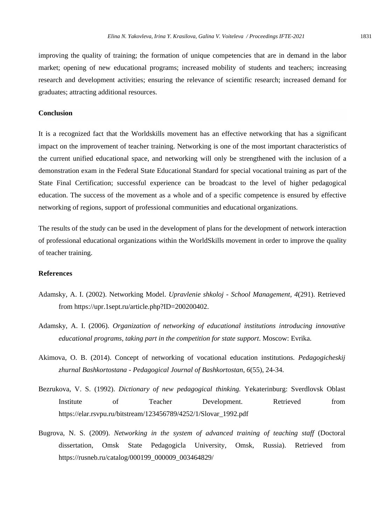improving the quality of training; the formation of unique competencies that are in demand in the labor market; opening of new educational programs; increased mobility of students and teachers; increasing research and development activities; ensuring the relevance of scientific research; increased demand for graduates; attracting additional resources.

## **Conclusion**

It is a recognized fact that the Worldskills movement has an effective networking that has a significant impact on the improvement of teacher training. Networking is one of the most important characteristics of the current unified educational space, and networking will only be strengthened with the inclusion of a demonstration exam in the Federal State Educational Standard for special vocational training as part of the State Final Certification; successful experience can be broadcast to the level of higher pedagogical education. The success of the movement as a whole and of a specific competence is ensured by effective networking of regions, support of professional communities and educational organizations.

The results of the study can be used in the development of plans for the development of network interaction of professional educational organizations within the WorldSkills movement in order to improve the quality of teacher training.

# **References**

- Adamsky, A. I. (2002). Networking Model. *Upravlenie shkoloj School Management, 4*(291). Retrieved from [https://upr.1sept.ru/article.php?ID=200200402.](https://upr.1sept.ru/article.php?ID=200200402)
- Adamsky, A. I. (2006). *Organization of networking of educational institutions introducing innovative educational programs, taking part in the competition for state support*. Moscow: Evrika.
- Akimova, O. B. (2014). Concept of networking of vocational education institutions. *Pedagogicheskij zhurnal Bashkortostana* - *Pedagogical Journal of Bashkortostan, 6*(55), 24-34.
- Bezrukova, V. S. (1992). *Dictionary of new pedagogical thinking.* Yekaterinburg: Sverdlovsk Oblast Institute of Teacher Development. Retrieved from https://elar.rsvpu.ru/bitstream/123456789/4252/1/Slovar\_1992.pdf
- Bugrova, N. S. (2009). *Networking in the system of advanced training of teaching staff* (Doctoral dissertation, Omsk State Pedagogicla University, Omsk, Russia). Retrieved from https://rusneb.ru/catalog/000199\_000009\_003464829/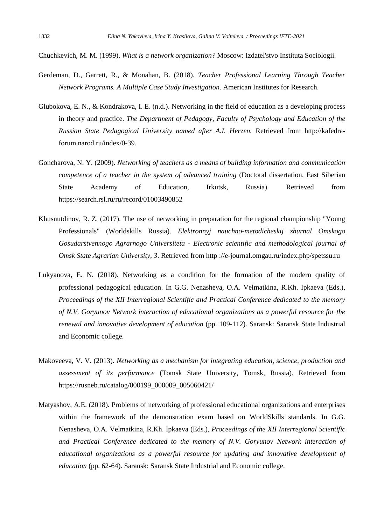Chuchkevich, M. M. (1999). *What is a network organization?* Moscow: Izdatel'stvo Instituta Sociologii.

- Gerdeman, D., Garrett, R., & Monahan, B. (2018). *Teacher Professional Learning Through Teacher Network Programs. A Multiple Case Study Investigation*. American Institutes for Research.
- Glubokova, E. N., & Kondrakova, I. E. (n.d.). Networking in the field of education as a developing process in theory and practice. *The Department of Pedagogy, Faculty of Psychology and Education of the Russian State Pedagogical University named after A.I. Herzen.* Retrieved from [http://kafedra](http://kafedra-forum.narod.ru/index/0-39)[forum.narod.ru/index/0-39.](http://kafedra-forum.narod.ru/index/0-39)
- Goncharova, N. Y. (2009). *Networking of teachers as a means of building information and communication competence of a teacher in the system of advanced training* (Doctoral dissertation, East Siberian State Academy of Education, Irkutsk, Russia). Retrieved from https://search.rsl.ru/ru/record/01003490852
- Khusnutdinov, R. Z. (2017). The use of networking in preparation for the regional championship "Young Professionals" (Worldskills Russia). *Elektronnyj nauchno-metodicheskij zhurnal Omskogo Gosudarstvennogo Agrarnogo Universiteta* - *Electronic scientific and methodological journal of Omsk State Agrarian University*, *3*. Retrieved from http ://e-journal.omgau.ru/index.php/spetssu.ru
- Lukyanova, E. N. (2018). Networking as a condition for the formation of the modern quality of professional pedagogical education. In G.G. Nenasheva, O.A. Velmatkina, R.Kh. Ipkaeva (Eds.), *Proceedings of the XII Interregional Scientific and Practical Conference dedicated to the memory of N.V. Goryunov Network interaction of educational organizations as a powerful resource for the renewal and innovative development of education* (pp. 109-112). Saransk: Saransk State Industrial and Economic college.
- Makoveeva, V. V. (2013). *Networking as a mechanism for integrating education, science, production and assessment of its performance* (Tomsk State University, Tomsk, Russia). Retrieved from https://rusneb.ru/catalog/000199\_000009\_005060421/
- Matyashov, A.E. (2018). Problems of networking of professional educational organizations and enterprises within the framework of the demonstration exam based on WorldSkills standards. In G.G. Nenasheva, O.A. Velmatkina, R.Kh. Ipkaeva (Eds.), *Proceedings of the XII Interregional Scientific and Practical Conference dedicated to the memory of N.V. Goryunov Network interaction of educational organizations as a powerful resource for updating and innovative development of education* (pp. 62-64). Saransk: Saransk State Industrial and Economic college.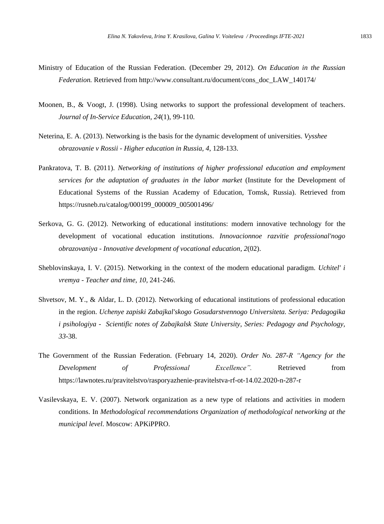- Ministry of Education of the Russian Federation. (December 29, 2012). *On Education in the Russian Federation.* Retrieved from http://www.consultant.ru/document/cons\_doc\_LAW\_140174/
- Moonen, B., & Voogt, J. (1998). Using networks to support the professional development of teachers. *Journal of In-Service Education, 24*(1), 99-110.
- Neterina, E. A. (2013). Networking is the basis for the dynamic development of universities. *Vysshee obrazovanie v Rossii - Higher education in Russia, 4*, 128-133.
- Pankratova, T. B. (2011). *Networking of institutions of higher professional education and employment services for the adaptation of graduates in the labor market* (Institute for the Development of Educational Systems of the Russian Academy of Education, Tomsk, Russia). Retrieved from https://rusneb.ru/catalog/000199\_000009\_005001496/
- Serkova, G. G. (2012). Networking of educational institutions: modern innovative technology for the development of vocational education institutions. *Innovacionnoe razvitie professional'nogo obrazovaniya* - *Innovative development of vocational education, 2*(02).
- Sheblovinskaya, I. V. (2015). Networking in the context of the modern educational paradigm. *Uchitel' i vremya* - *Teacher and time, 10*, 241-246.
- Shvetsov, M. Y., & Aldar, L. D. (2012). Networking of educational institutions of professional education in the region. *Uchenye zapiski Zabajkal'skogo Gosudarstvennogo Universiteta. Seriya: Pedagogika i psihologiya* - *Scientific notes of Zabajkalsk State University*, *Series: Pedagogy and Psychology, 33*-38.
- The Government of the Russian Federation. (February 14, 2020). *Order No. 287-R "Agency for the Development of Professional Excellence".* Retrieved from https://lawnotes.ru/pravitelstvo/rasporyazhenie-pravitelstva-rf-ot-14.02.2020-n-287-r
- Vasilevskaya, E. V. (2007). Network organization as a new type of relations and activities in modern conditions. In *Methodological recommendations Organization of methodological networking at the municipal level*. Moscow: APKiPPRO.